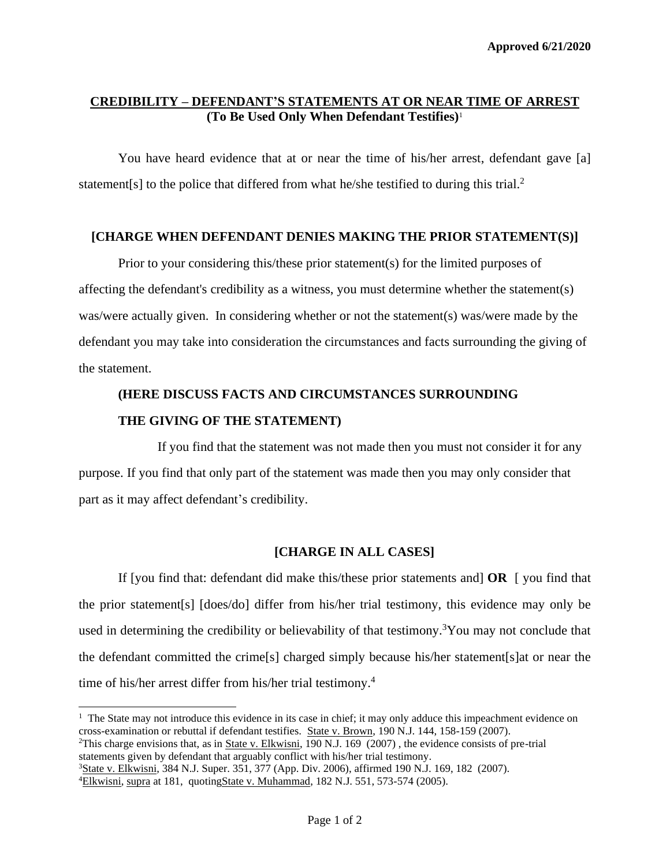## **CREDIBILITY – DEFENDANT'S STATEMENTS AT OR NEAR TIME OF ARREST (To Be Used Only When Defendant Testifies)**<sup>1</sup>

You have heard evidence that at or near the time of his/her arrest, defendant gave [a] statement[s] to the police that differed from what he/she testified to during this trial.<sup>2</sup>

## **[CHARGE WHEN DEFENDANT DENIES MAKING THE PRIOR STATEMENT(S)]**

Prior to your considering this/these prior statement(s) for the limited purposes of affecting the defendant's credibility as a witness, you must determine whether the statement(s) was/were actually given. In considering whether or not the statement(s) was/were made by the defendant you may take into consideration the circumstances and facts surrounding the giving of the statement.

## **(HERE DISCUSS FACTS AND CIRCUMSTANCES SURROUNDING THE GIVING OF THE STATEMENT)**

If you find that the statement was not made then you must not consider it for any purpose. If you find that only part of the statement was made then you may only consider that part as it may affect defendant's credibility.

## **[CHARGE IN ALL CASES]**

If [you find that: defendant did make this/these prior statements and] **OR** [ you find that the prior statement[s] [does/do] differ from his/her trial testimony, this evidence may only be used in determining the credibility or believability of that testimony.<sup>3</sup>You may not conclude that the defendant committed the crime[s] charged simply because his/her statement[s]at or near the time of his/her arrest differ from his/her trial testimony. 4

<sup>&</sup>lt;sup>1</sup> The State may not introduce this evidence in its case in chief; it may only adduce this impeachment evidence on cross-examination or rebuttal if defendant testifies. State v. Brown, 190 N.J. 144, 158-159 (2007).

<sup>&</sup>lt;sup>2</sup>This charge envisions that, as in <u>State v. Elkwisni</u>, 190 N.J. 169 (2007), the evidence consists of pre-trial statements given by defendant that arguably conflict with his/her trial testimony.

<sup>&</sup>lt;sup>3</sup>State v. Elkwisni, 384 N.J. Super. 351, 377 (App. Div. 2006), affirmed 190 N.J. 169, 182 (2007).

<sup>&</sup>lt;sup>4</sup>Elkwisni, supra at 181, quotingState v. Muhammad, 182 N.J. 551, 573-574 (2005).